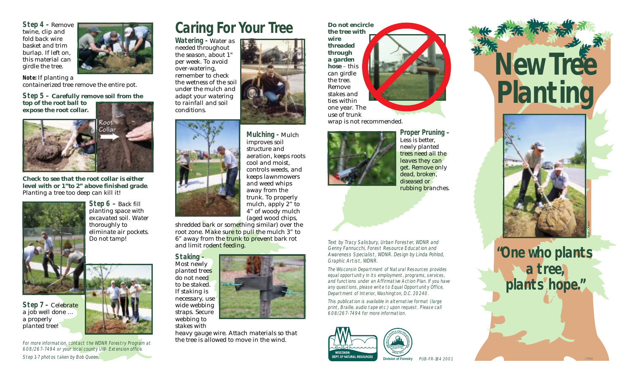**Step 4 –** Remove twine, clip and fold back wire basket and trim burlap. If left on, this material can girdle the tree.

**Note:** If planting a containerized tree remove the entire pot.

**Step 5 – Carefully remove soil from the top of the root ball to expose the root collar.**



**Check to see that the root collar is either level with or 1"to 2" above finished grade**. Planting a tree too deep can kill it!



**Step 6 –** Back fill planting space with excavated soil. Water thoroughly to eliminate air pockets. Do not tamp!

a job well done … a properly planted tree!



For more information, contact the WDNR Forestry Program at 608/267-7494 or your local county UW- Extension office. Step 1-7 photos taken by Bob Queen. The Step 1-7 photos taken by Bob Queen. Pub-FR-184 2001



# **Caring For Your Tree**

**Watering -** Water as needed throughout the season, about 1" per week. To avoid over-watering, remember to check the wetness of the soil under the mulch and adapt your watering to rainfall and soil conditions.



shredded bark or something similar) over the root zone. Make sure to pull the mulch 3" to 6" away from the trunk to prevent bark rot and limit rodent feeding.

mulch, apply 2" to 4" of woody mulch (aged wood chips,

**Staking –** Most newly planted trees do not need to be staked. If staking is necessary, use wide webbing straps. Secure webbing to stakes with

heavy gauge wire. Attach materials so that the tree is allowed to move in the wind.

**the tree with wire threaded through a garden hose** – this can girdle the tree. Remove stakes and ties within one year. The use of trunk wrap is not recommended.

**Do not encircle**



**Proper Pruning –** Less is better, newly planted trees need all the leaves they can get. Remove only dead, broken, diseased or rubbing branches.

Text by Tracy Salisbury, Urban Forester, WDNR and Genny Fannucchi, Forest Resource Education and Awareness Specialist, WDNR. Design by Linda Pohlod, Graphic Artist, WDNR.

The Wisconsin Department of Natural Resources provides equal opportunity in its employment, programs, services, and functions under an Affirmative Action Plan. If you have any questions, please write to Equal Opportunity Office, Department of Interior, Washington, D.C. 20240.

This publication is available in alternative format (large print, Braille, audio tape etc.) upon request. Please call 608/267-7494 for more information.







**"One who plants a tree, plants hope."**